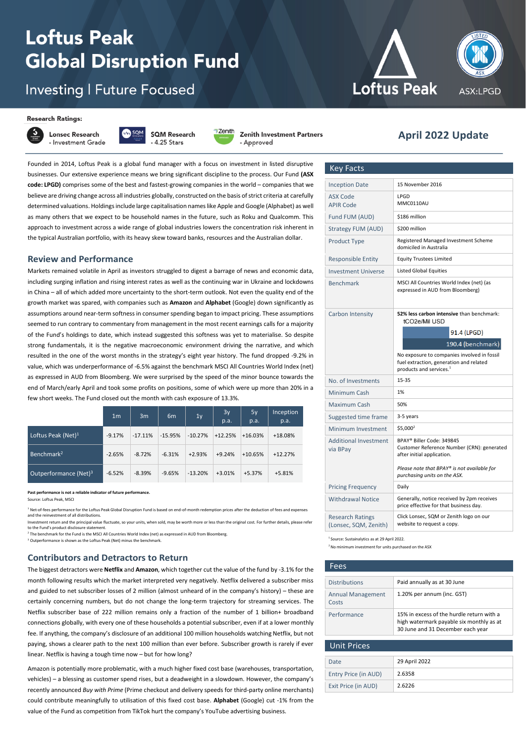# **Loftus Peak Global Disruption Fund**

# **Investing | Future Focused**

#### **Research Ratings:**



**Lonsec Research** - Investment Grade - 4.25 Stars



Zenith

- Approved

**Zenith Investment Partners** 

November <sup>2021</sup> **April <sup>2022</sup> Update**

**Loftus Peak** 

Founded in 2014, Loftus Peak is a global fund manager with a focus on investment in listed disruptive **Review an** businesses. Our extensive experience means we bring significant discipline to the process. Our Fund **(ASX code: LPGD)** comprises some of the best and fastest-growing companies in the world – companies that we believe are driving change across all industries globally, constructed on the basis of strict criteria at carefully determined valuations. Holdings include large capitalisation names like Apple and Google (Alphabet) as well as many others that we expect to be household names in the future, such as Roku and Qualcomm. This approach to investment across a wide range of global industries lowers the concentration risk inherent in the typical Australian portfolio, with its heavy skew toward banks, resources and the Australian dollar.

### **Review and Performance**

Markets remained volatile in April as investors struggled to digest a barrage of news and economic data, including surging inflation and rising interest rates as well as the continuing war in Ukraine and lockdowns in China – all of which added more uncertainty to the short-term outlook. Not even the quality end of the growth market was spared, with companies such as **Amazon** and **Alphabet** (Google) down significantly as assumptions around near-term softness in consumer spending began to impact pricing. These assumptions seemed to run contrary to commentary from management in the most recent earnings calls for a majority of the Fund's holdings to date, which instead suggested this softness was yet to materialise. So despite strong fundamentals, it is the negative macroeconomic environment driving the narrative, and which resulted in the one of the worst months in the strategy's eight year history. The fund dropped -9.2% in value, which was underperformance of -6.5% against the benchmark MSCI All Countries World Index (net) as expressed in AUD from Bloomberg. We were surprised by the speed of the minor bounce towards the end of March/early April and took some profits on positions, some of which were up more than 20% in a few short weeks. The Fund closed out the month with cash exposure of 13.3%.

|                                   | 1 <sub>m</sub> | 3m        | 6 <sub>m</sub> | 1 <sub>y</sub> | 3y<br>p.a. | 5y<br>p.a. | Inception<br>p.a. |
|-----------------------------------|----------------|-----------|----------------|----------------|------------|------------|-------------------|
| Loftus Peak (Net) $1$             | $-9.17%$       | $-17.11%$ | $-15.95%$      | $-10.27%$      | $+12.25%$  | $+16.03%$  | +18.08%           |
| Benchmark <sup>2</sup>            | $-2.65%$       | $-8.72%$  | $-6.31%$       | $+2.93%$       | $+9.24%$   | $+10.65%$  | $+12.27%$         |
| Outperformance (Net) <sup>3</sup> | $-6.52%$       | $-8.39%$  | $-9.65%$       | $-13.20%$      | $+3.01%$   | $+5.37%$   | $+5.81%$          |

**Past performance is not a reliable indicator of future performance.** Source: Loftus Peak, MSCI

<sup>1</sup> Net-of-fees performance for the Loftus Peak Global Disruption Fund is based on end-of-month redemption prices after the deduction of fees and exp

and the reinvestment of all distributions. estment return and the principal value fluctuate, so your units, when sold, may be worth more or less than the original cost. For further details, please refer to the Fund's product disclosure statement

<sup>2</sup> The benchmark for the Fund is the MSCI All Countries World Index (net) as expressed in AUD from Bloomberg.

<sup>3</sup> Outperformance is shown as the Loftus Peak (Net) minus the benchmark

# **Contributors and Detractors to Return**

The biggest detractors were **Netflix** and **Amazon**, which together cut the value of the fund by -3.1% for the month following results which the market interpreted very negatively. Netflix delivered a subscriber miss and guided to net subscriber losses of 2 million (almost unheard of in the company's history) – these are certainly concerning numbers, but do not change the long-term trajectory for streaming services. The Netflix subscriber base of 222 million remains only a fraction of the number of 1 billion+ broadband connections globally, with every one of these households a potential subscriber, even if at a lower monthly fee. If anything, the company's disclosure of an additional 100 million households watching Netflix, but not paying, shows a clearer path to the next 100 million than ever before. Subscriber growth is rarely if ever linear. Netflix is having a tough time now – but for how long?

Amazon is potentially more problematic, with a much higher fixed cost base (warehouses, transportation, vehicles) – a blessing as customer spend rises, but a deadweight in a slowdown. However, the company's recently announced *Buy with Prime* (Prime checkout and delivery speeds for third-party online merchants) could contribute meaningfully to utilisation of this fixed cost base. **Alphabet** (Google) cut -1% from the value of the Fund as competition from TikTok hurt the company's YouTube advertising business.

| <b>Key Facts</b>                                 |                                                                                                                               |  |
|--------------------------------------------------|-------------------------------------------------------------------------------------------------------------------------------|--|
| <b>Inception Date</b>                            | 15 November 2016                                                                                                              |  |
| <b>ASX Code</b><br><b>APIR Code</b>              | LPGD<br>MMC0110AU                                                                                                             |  |
| Fund FUM (AUD)                                   | \$186 million                                                                                                                 |  |
| <b>Strategy FUM (AUD)</b>                        | \$200 million                                                                                                                 |  |
| <b>Product Type</b>                              | Registered Managed Investment Scheme<br>domiciled in Australia                                                                |  |
| <b>Responsible Entity</b>                        | <b>Equity Trustees Limited</b>                                                                                                |  |
| <b>Investment Universe</b>                       | <b>Listed Global Equities</b>                                                                                                 |  |
| <b>Benchmark</b>                                 | MSCI All Countries World Index (net) (as<br>expressed in AUD from Bloomberg)                                                  |  |
| Carbon Intensity                                 | 52% less carbon intensive than benchmark:<br>tCO2e/Mil USD                                                                    |  |
|                                                  | 91.4 (LPGD)                                                                                                                   |  |
|                                                  | 190.4 (benchmark)                                                                                                             |  |
|                                                  | No exposure to companies involved in fossil<br>fuel extraction, generation and related<br>products and services. <sup>1</sup> |  |
| No. of Investments                               | $15 - 35$                                                                                                                     |  |
| Minimum Cash                                     | 1%                                                                                                                            |  |
| <b>Maximum Cash</b>                              | 50%                                                                                                                           |  |
| Suggested time frame                             | 3-5 years                                                                                                                     |  |
| Minimum Investment                               | \$5,000 <sup>2</sup>                                                                                                          |  |
| <b>Additional Investment</b><br>via BPay         | BPAY® Biller Code: 349845<br>Customer Reference Number (CRN): generated<br>after initial application.                         |  |
|                                                  | Please note that BPAY® is not available for<br>purchasing units on the ASX.                                                   |  |
| <b>Pricing Frequency</b>                         | Daily                                                                                                                         |  |
| <b>Withdrawal Notice</b>                         | Generally, notice received by 2pm receives<br>price effective for that business day.                                          |  |
| <b>Research Ratings</b><br>(Lonsec, SQM, Zenith) | Click Lonsec, SQM or Zenith logo on our<br>website to request a copy.                                                         |  |
|                                                  |                                                                                                                               |  |

<sup>1</sup> Source: Sustainalytics as at 29 April 2022.

<sup>2</sup> No minimum investment for units purchased on the ASX

| Fees                              |                                                                                                                            |
|-----------------------------------|----------------------------------------------------------------------------------------------------------------------------|
|                                   |                                                                                                                            |
| <b>Distributions</b>              | Paid annually as at 30 June                                                                                                |
| <b>Annual Management</b><br>Costs | 1.20% per annum (inc. GST)                                                                                                 |
| Performance                       | 15% in excess of the hurdle return with a<br>high watermark payable six monthly as at<br>30 June and 31 December each year |
| <b>Unit Prices</b>                |                                                                                                                            |
|                                   |                                                                                                                            |
| Date                              | 29 April 2022                                                                                                              |
| Entry Price (in AUD)              | 2.6358                                                                                                                     |
| Exit Price (in AUD)               | 2.6226                                                                                                                     |